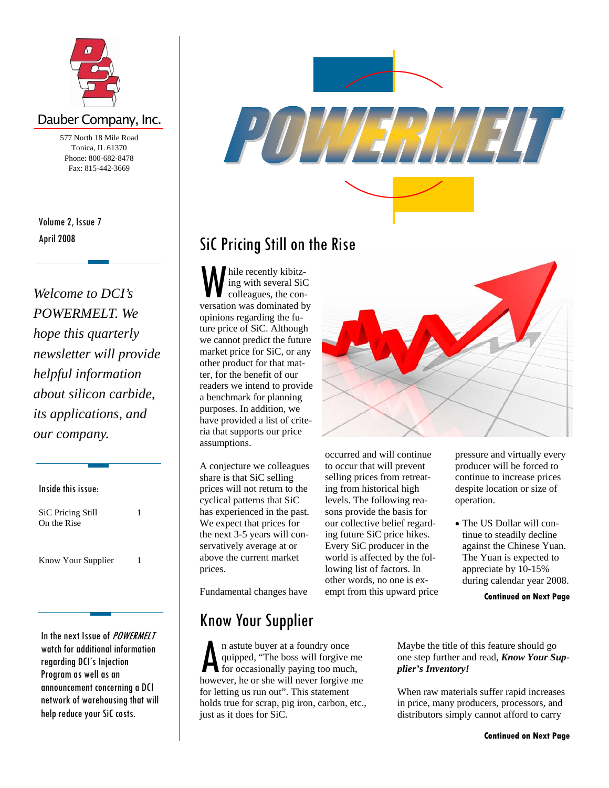

## Dauber Company, Inc.

577 North 18 Mile Road Tonica, IL 61370 Phone: 800-682-8478 Fax: 815-442-3669

April 2008 Volume 2, Issue 7

*Welcome to DCI's POWERMELT. We hope this quarterly newsletter will provide helpful information about silicon carbide, its applications, and our company.* 

Inside this issue: SiC Pricing Still On the Rise 1 Know Your Supplier 1

In the next Issue of POWERMELT watch for additional information regarding DCI's Injection Program as well as an announcement concerning a DCI network of warehousing that will help reduce your SiC costs.



## SiC Pricing Still on the Rise

W hile recently kibitz-<br>
ing with several SiC<br>
colleagues, the con-<br>
versation was dominated by ing with several SiC colleagues, the conopinions regarding the future price of SiC. Although we cannot predict the future market price for SiC, or any other product for that matter, for the benefit of our readers we intend to provide a benchmark for planning purposes. In addition, we have provided a list of criteria that supports our price assumptions.

A conjecture we colleagues share is that SiC selling prices will not return to the cyclical patterns that SiC has experienced in the past. We expect that prices for the next 3-5 years will conservatively average at or above the current market prices.

Fundamental changes have

## Know Your Supplier

**A** n astute buyer at a foundry once<br>quipped, "The boss will forgive if<br>for occasionally paying too much<br>however, he or she will never forgive quipped, "The boss will forgive me for occasionally paying too much, however, he or she will never forgive me for letting us run out". This statement holds true for scrap, pig iron, carbon, etc., just as it does for SiC.



occurred and will continue to occur that will prevent selling prices from retreating from historical high levels. The following reasons provide the basis for our collective belief regarding future SiC price hikes. Every SiC producer in the world is affected by the following list of factors. In other words, no one is exempt from this upward price pressure and virtually every producer will be forced to continue to increase prices despite location or size of operation.

• The US Dollar will continue to steadily decline against the Chinese Yuan. The Yuan is expected to appreciate by 10-15% during calendar year 2008.

**Continued on Next Page** 

Maybe the title of this feature should go one step further and read, *Know Your Supplier's Inventory!* 

When raw materials suffer rapid increases in price, many producers, processors, and distributors simply cannot afford to carry